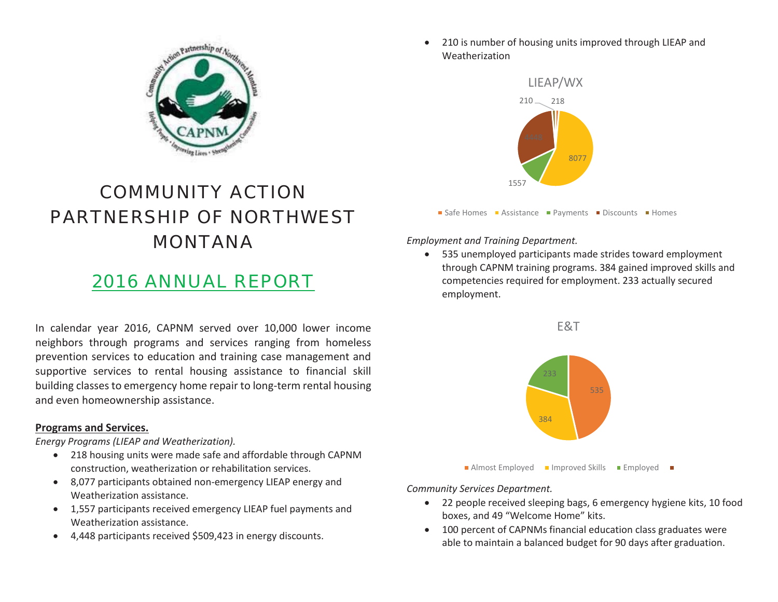

# COMMUNITY ACTION PARTNERSHIP OF NORTHWEST MONTANA

## 2016 ANNUAL REPORT

In calendar year 2016, CAPNM served over 10,000 lower income neighbors through programs and services ranging from homeless prevention services to education and training case management and supportive services to rental housing assistance to financial skill building classes to emergency home repair to long-term rental housing and even homeownership assistance.

#### **Programs and Services.**

*Energy Programs (LIEAP and Weatherization).* 

- 218 housing units were made safe and affordable through CAPNM construction, weatherization or rehabilitation services.
- 8,077 participants obtained non-emergency LIEAP energy and Weatherization assistance.
- 1,557 participants received emergency LIEAP fuel payments and Weatherization assistance.
- $\bullet$  4,448 participants received \$509,423 in energy discounts.

 $\bullet$  210 is number of housing units improved through LIEAP and **Weatherization** 



*Employment and Training Department.* 

 $\bullet$  535 unemployed participants made strides toward employment through CAPNM training programs. 384 gained improved skills and competencies required for employment. 233 actually secured employment.



*Community Services Department.* 

- $\bullet$  22 people received sleeping bags, 6 emergency hygiene kits, 10 food boxes, and 49 "Welcome Home" kits.
- 100 percent of CAPNMs financial education class graduates were able to maintain a balanced budget for 90 days after graduation.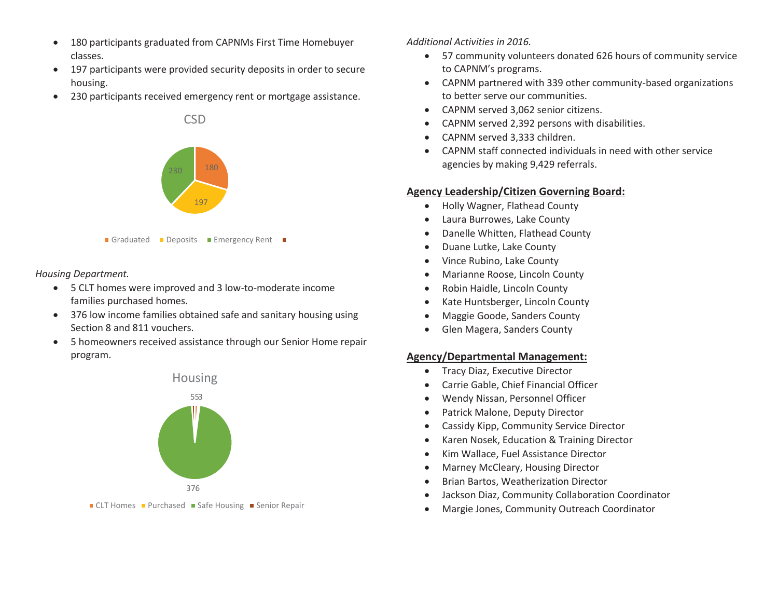- $\bullet$  180 participants graduated from CAPNMs First Time Homebuyer classes.
- $\bullet$  197 participants were provided security deposits in order to secure housing.
- $\bullet$ 230 participants received emergency rent or mortgage assistance.



*Housing Department.* 

- 5 CLT homes were improved and 3 low-to-moderate income families purchased homes.
- 376 low income families obtained safe and sanitary housing using Section 8 and 811 vouchers.
- $\bullet$  5 homeowners received assistance through our Senior Home repair program.



CLT Homes Purchased Safe Housing Senior Repair

#### *Additional Activities in 2016.*

- $\bullet$  57 community volunteers donated 626 hours of community service to CAPNM's programs.
- CAPNM partnered with 339 other community-based organizations to better serve our communities.
- CAPNM served 3,062 senior citizens.
- $\bullet$ CAPNM served 2,392 persons with disabilities.
- $\bullet$ CAPNM served 3,333 children.
- $\bullet$  CAPNM staff connected individuals in need with other service agencies by making 9,429 referrals.

#### **Agency Leadership/Citizen Governing Board:**

- $\bullet$ Holly Wagner, Flathead County
- $\bullet$ Laura Burrowes, Lake County
- $\bullet$ Danelle Whitten, Flathead County
- $\bullet$ Duane Lutke, Lake County
- 0 Vince Rubino, Lake County
- $\bullet$ Marianne Roose, Lincoln County
- $\bullet$ Robin Haidle, Lincoln County
- $\bullet$ Kate Huntsberger, Lincoln County
- $\bullet$ Maggie Goode, Sanders County
- $\bullet$ Glen Magera, Sanders County

#### **Agency/Departmental Management:**

- $\bullet$ Tracy Diaz, Executive Director
- $\bullet$ Carrie Gable, Chief Financial Officer
- $\bullet$ Wendy Nissan, Personnel Officer
- $\bullet$ Patrick Malone, Deputy Director
- $\bullet$ Cassidy Kipp, Community Service Director
- $\bullet$ Karen Nosek, Education & Training Director
- $\bullet$ Kim Wallace, Fuel Assistance Director
- $\bullet$ Marney McCleary, Housing Director
- $\bullet$ Brian Bartos, Weatherization Director
- $\bullet$ Jackson Diaz, Community Collaboration Coordinator
- 0 Margie Jones, Community Outreach Coordinator